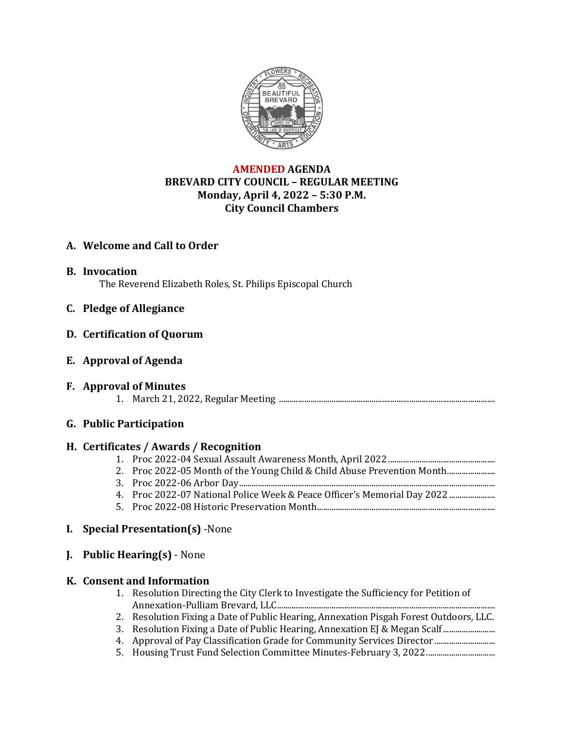

# **AMENDED AGENDA BREVARD CITY COUNCIL – REGULAR MEETING Monday, April 4, 2022 – 5:30 P.M. City Council Chambers**

# **A. Welcome and Call to Order**

**B. Invocation**

The Reverend Elizabeth Roles, St. Philips Episcopal Church

**C. Pledge of Allegiance**

## **D. Certification of Quorum**

**E. Approval of Agenda**

#### **F. Approval of Minutes**

1. March 21, 2022, Regular Meeting .......................................................................................................

## **G. Public Participation**

## **H. Certificates / Awards / Recognition**

- 1. Proc 2022-04 Sexual Assault Awareness Month, April 2022...................................................
- 2. Proc 2022-05 Month of the Young Child & Child Abuse Prevention Month............................
- 3. Proc 2022-06 Arbor Day..........................................................................................................................
- 4. Proc 2022-07 National Police Week & Peace Officer's Memorial Day 2022 ......................
- 5. Proc 2022-08 Historic Preservation Month.....................................................................................

## **I. Special Presentation(s)** -None

**J. Public Hearing(s)** - None

#### **K. Consent and Information**

- 1. Resolution Directing the City Clerk to Investigate the Sufficiency for Petition of Annexation-Pulliam Brevard, LLC........................................................................................................
- 2. Resolution Fixing a Date of Public Hearing, Annexation Pisgah Forest Outdoors, LLC.
- 3. Resolution Fixing a Date of Public Hearing, Annexation EJ & Megan Scalf.........................
- 4. Approval of Pay Classification Grade for Community Services Director .............................
- 5. Housing Trust Fund Selection Committee Minutes-February 3, 2022.................................